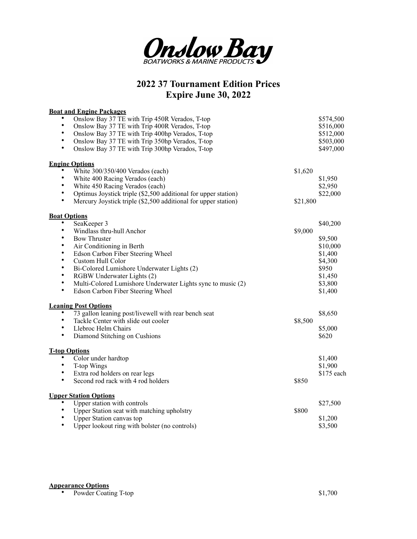

## **2022 37 Tournament Edition Prices Expire June 30, 2022**

| <b>Boat and Engine Packages</b>                                                                                                                                                                                                                                                                                                                                                                                                                                                                                                 |                     |                                                                                                            |
|---------------------------------------------------------------------------------------------------------------------------------------------------------------------------------------------------------------------------------------------------------------------------------------------------------------------------------------------------------------------------------------------------------------------------------------------------------------------------------------------------------------------------------|---------------------|------------------------------------------------------------------------------------------------------------|
| Onslow Bay 37 TE with Trip 450R Verados, T-top<br>$\bullet$<br>Onslow Bay 37 TE with Trip 400R Verados, T-top<br>٠<br>Onslow Bay 37 TE with Trip 400hp Verados, T-top<br>٠<br>Onslow Bay 37 TE with Trip 350hp Verados, T-top<br>$\bullet$<br>Onslow Bay 37 TE with Trip 300hp Verados, T-top                                                                                                                                                                                                                                   |                     | \$574,500<br>\$516,000<br>\$512,000<br>\$503,000<br>\$497,000                                              |
| <b>Engine Options</b>                                                                                                                                                                                                                                                                                                                                                                                                                                                                                                           |                     |                                                                                                            |
| White 300/350/400 Verados (each)<br>$\bullet$<br>White 400 Racing Verados (each)<br>$\bullet$<br>White 450 Racing Verados (each)<br>$\bullet$<br>Optimus Joystick triple (\$2,500 additional for upper station)<br>$\bullet$<br>Mercury Joystick triple (\$2,500 additional for upper station)                                                                                                                                                                                                                                  | \$1,620<br>\$21,800 | \$1,950<br>\$2,950<br>\$22,000                                                                             |
| <b>Boat Options</b>                                                                                                                                                                                                                                                                                                                                                                                                                                                                                                             |                     |                                                                                                            |
| SeaKeeper 3<br>$\bullet$<br>Windlass thru-hull Anchor<br>$\bullet$<br><b>Bow Thruster</b><br>٠<br>Air Conditioning in Berth<br>٠<br>Edson Carbon Fiber Steering Wheel<br>$\bullet$<br>Custom Hull Color<br>٠<br>Bi-Colored Lumishore Underwater Lights (2)<br>٠<br>RGBW Underwater Lights (2)<br>$\bullet$<br>Multi-Colored Lumishore Underwater Lights sync to music (2)<br>$\bullet$<br>Edson Carbon Fiber Steering Wheel<br><b>Leaning Post Options</b><br>73 gallon leaning post/livewell with rear bench seat<br>$\bullet$ | \$9,000             | \$40,200<br>\$9,500<br>\$10,000<br>\$1,400<br>\$4,300<br>\$950<br>\$1,450<br>\$3,800<br>\$1,400<br>\$8,650 |
| $\bullet$<br>Tackle Center with slide out cooler<br>$\bullet$<br>Llebroc Helm Chairs<br>$\bullet$<br>Diamond Stitching on Cushions                                                                                                                                                                                                                                                                                                                                                                                              | \$8,500             | \$5,000<br>\$620                                                                                           |
| <b>T-top Options</b><br>Color under hardtop<br>T-top Wings<br>$\bullet$<br>Extra rod holders on rear legs<br>$\bullet$<br>Second rod rack with 4 rod holders                                                                                                                                                                                                                                                                                                                                                                    | \$850               | \$1,400<br>\$1,900<br>$$175$ each                                                                          |
| <b>Upper Station Options</b>                                                                                                                                                                                                                                                                                                                                                                                                                                                                                                    |                     |                                                                                                            |
| Upper station with controls<br>$\bullet$<br>Upper Station seat with matching upholstry<br>$\bullet$<br><b>Upper Station canvas top</b><br>$\bullet$<br>Upper lookout ring with bolster (no controls)                                                                                                                                                                                                                                                                                                                            | \$800               | \$27,500<br>\$1,200<br>\$3,500                                                                             |

**Appearance Options** • Powder Coating T-top \$1,700